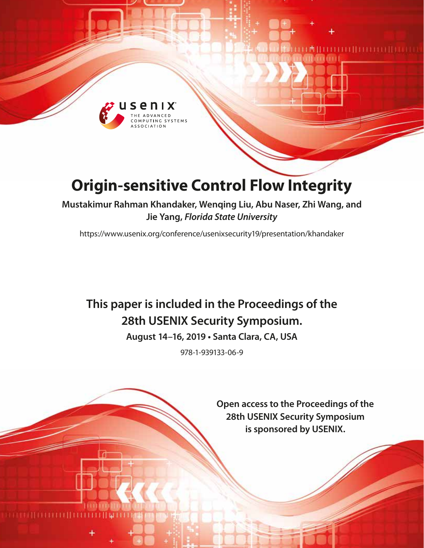

# **Origin-sensitive Control Flow Integrity**

**Mustakimur Rahman Khandaker, Wenqing Liu, Abu Naser, Zhi Wang, and Jie Yang,** *Florida State University*

<https://www.usenix.org/conference/usenixsecurity19/presentation/khandaker>

# **This paper is included in the Proceedings of the 28th USENIX Security Symposium.**

**August 14–16, 2019 • Santa Clara, CA, USA**

978-1-939133-06-9

**Open access to the Proceedings of the 28th USENIX Security Symposium is sponsored by USENIX.**

аниит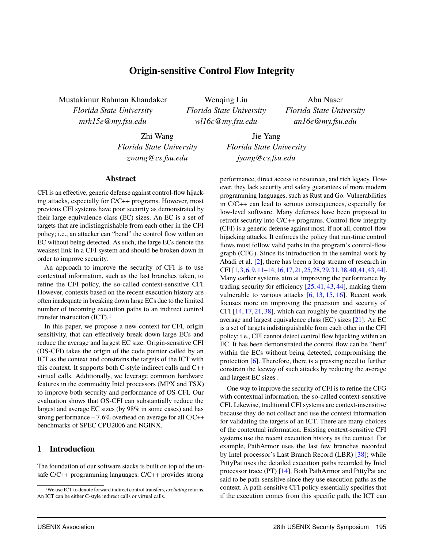## **Origin-sensitive Control Flow Integrity**

Mustakimur Rahman Khandaker *Florida State University mrk15e@my.fsu.edu*

Wenqing Liu *Florida State University wl16c@my.fsu.edu*

Abu Naser *Florida State University an16e@my.fsu.edu*

Zhi Wang *Florida State University zwang@cs.fsu.edu*

Jie Yang *Florida State University jyang@cs.fsu.edu*

#### **Abstract**

CFI is an effective, generic defense against control-flow hijacking attacks, especially for C/C++ programs. However, most previous CFI systems have poor security as demonstrated by their large equivalence class (EC) sizes. An EC is a set of targets that are indistinguishable from each other in the CFI policy; i.e., an attacker can "bend" the control flow within an EC without being detected. As such, the large ECs denote the weakest link in a CFI system and should be broken down in order to improve security.

An approach to improve the security of CFI is to use contextual information, such as the last branches taken, to refine the CFI policy, the so-called context-sensitive CFI. However, contexts based on the recent execution history are often inadequate in breaking down large ECs due to the limited number of incoming execution paths to an indirect control transfer instruction (ICT).[1](#page-1-0)

In this paper, we propose a new context for CFI, origin sensitivity, that can effectively break down large ECs and reduce the average and largest EC size. Origin-sensitive CFI (OS-CFI) takes the origin of the code pointer called by an ICT as the context and constrains the targets of the ICT with this context. It supports both C-style indirect calls and C++ virtual calls. Additionally, we leverage common hardware features in the commodity Intel processors (MPX and TSX) to improve both security and performance of OS-CFI. Our evaluation shows that OS-CFI can substantially reduce the largest and average EC sizes (by 98% in some cases) and has strong performance – <sup>7</sup>.6% overhead on average for all C/C++ benchmarks of SPEC CPU2006 and NGINX.

#### **1 Introduction**

The foundation of our software stacks is built on top of the unsafe C/C++ programming languages. C/C++ provides strong

performance, direct access to resources, and rich legacy. However, they lack security and safety guarantees of more modern programming languages, such as Rust and Go. Vulnerabilities in C/C++ can lead to serious consequences, especially for low-level software. Many defenses have been proposed to retrofit security into C/C++ programs. Control-flow integrity (CFI) is a generic defense against most, if not all, control-flow hijacking attacks. It enforces the policy that run-time control flows must follow valid paths in the program's control-flow graph (CFG). Since its introduction in the seminal work by Abadi et al. [\[2\]](#page-15-0), there has been a long stream of research in CFI [\[1,](#page-15-1)[3,](#page-15-2)[6,](#page-16-0)[9,](#page-16-1)[11](#page-16-2)[–14,](#page-16-3)[16,](#page-16-4)[17,](#page-16-5)[21,](#page-16-6)[25,](#page-16-7)[28,](#page-17-0)[29,](#page-17-1)[31,](#page-17-2)[38,](#page-17-3)[40,](#page-17-4)[41,](#page-17-5)[43,](#page-17-6)[44\]](#page-17-7). Many earlier systems aim at improving the performance by trading security for efficiency [\[25,](#page-16-7) [41,](#page-17-5) [43,](#page-17-6) [44\]](#page-17-7), making them vulnerable to various attacks [\[6,](#page-16-0) [13,](#page-16-8) [15,](#page-16-9) [16\]](#page-16-4). Recent work focuses more on improving the precision and security of CFI [\[14,](#page-16-3) [17,](#page-16-5) [21,](#page-16-6) [38\]](#page-17-3), which can roughly be quantified by the average and largest equivalence class (EC) sizes [\[21\]](#page-16-6). An EC is a set of targets indistinguishable from each other in the CFI policy; i.e., CFI cannot detect control flow hijacking within an EC. It has been demonstrated the control flow can be "bent" within the ECs without being detected, compromising the protection [\[6\]](#page-16-0). Therefore, there is a pressing need to further constrain the leeway of such attacks by reducing the average and largest EC sizes .

One way to improve the security of CFI is to refine the CFG with contextual information, the so-called context-sensitive CFI. Likewise, traditional CFI systems are context-insensitive because they do not collect and use the context information for validating the targets of an ICT. There are many choices of the contextual information. Existing context-sensitive CFI systems use the recent execution history as the context. For example, PathArmor uses the last few branches recorded by Intel processor's Last Branch Record (LBR) [\[38\]](#page-17-3); while PittyPat uses the detailed execution paths recorded by Intel processor trace (PT) [\[14\]](#page-16-3). Both PathArmor and PittyPat are said to be path-sensitive since they use execution paths as the context. A path-sensitive CFI policy essentially specifies that if the execution comes from this specific path, the ICT can

<span id="page-1-0"></span><sup>1</sup>We use ICT to denote forward indirect control transfers, *excluding* returns. An ICT can be either C-style indirect calls or virtual calls.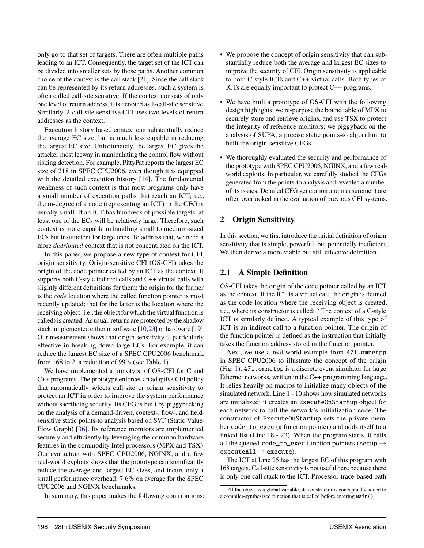only go to that set of targets. There are often multiple paths leading to an ICT. Consequently, the target set of the ICT can be divided into smaller sets by those paths. Another common choice of the context is the call stack [\[21\]](#page-16-6). Since the call stack can be represented by its return addresses, such a system is often called call-site sensitive. If the context consists of only one level of return address, it is denoted as 1-call-site sensitive. Similarly, 2-call-site sensitive CFI uses two levels of return addresses as the context.

Execution history based context can substantially reduce the average EC size, but is much less capable in reducing the largest EC size. Unfortunately, the largest EC gives the attacker most leeway in manipulating the control flow without risking detection. For example, PittyPat reports the largest EC size of 218 in SPEC CPU2006, even though it is equipped with the detailed execution history [\[14\]](#page-16-3). The fundamental weakness of such context is that most programs only have a small number of execution paths that reach an ICT; i.e., the in-degree of a node (representing an ICT) in the CFG is usually small. If an ICT has hundreds of possible targets, at least one of the ECs will be relatively large. Therefore, such context is more capable in handling small to medium-sized ECs but insufficient for large ones. To address that, we need a more *distributed* context that is not concentrated on the ICT.

In this paper, we propose a new type of context for CFI, origin sensitivity. Origin-sensitive CFI (OS-CFI) takes the origin of the code pointer called by an ICT as the context. It supports both C-style indirect calls and C++ virtual calls with slightly different definitions for them: the origin for the former is the *code* location where the called function pointer is most recently updated; that for the latter is the location where the receiving object (i.e., the object for which the virtual function is called) is created. As usual, returns are protected by the shadow stack, implemented either in software [\[10,](#page-16-10)[23\]](#page-16-11) or hardware [\[19\]](#page-16-12). Our measurement shows that origin sensitivity is particularly effective in breaking down large ECs. For example, it can reduce the largest EC size of a SPEC CPU2006 benchmark from 168 to 2, a reduction of 99% (see Table [1\)](#page-4-0).

We have implemented a prototype of OS-CFI for C and C++ programs. The prototype enforces an adaptive CFI policy that automatically selects call-site or origin sensitivity to protect an ICT in order to improve the system performance without sacrificing security. Its CFG is built by piggybacking on the analysis of a demand-driven, context-, flow-, and fieldsensitive static points-to analysis based on SVF (Static Value-Flow Graph) [\[36\]](#page-17-8). Its reference monitors are implemented securely and efficiently by leveraging the common hardware features in the commodity Intel processors (MPX and TSX). Our evaluation with SPEC CPU2006, NGINX, and a few real-world exploits shows that the prototype can significantly reduce the average and largest EC sizes, and incurs only a small performance overhead: <sup>7</sup>.6% on average for the SPEC CPU2006 and NGINX benchmarks.

In summary, this paper makes the following contributions:

- We propose the concept of origin sensitivity that can substantially reduce both the average and largest EC sizes to improve the security of CFI. Origin sensitivity is applicable to both C-style ICTs and C++ virtual calls. Both types of ICTs are equally important to protect C++ programs.
- We have built a prototype of OS-CFI with the following design highlights: we re-purpose the bound table of MPX to securely store and retrieve origins, and use TSX to protect the integrity of reference monitors; we piggyback on the analysis of SUPA, a precise static points-to algorithm, to built the origin-sensitive CFGs.
- We thoroughly evaluated the security and performance of the prototype with SPEC CPU2006, NGINX, and a few realworld exploits. In particular, we carefully studied the CFGs generated from the points-to analysis and revealed a number of its issues. Detailed CFG generation and measurement are often overlooked in the evaluation of previous CFI systems.

## **2 Origin Sensitivity**

In this section, we first introduce the initial definition of origin sensitivity that is simple, powerful, but potentially inefficient. We then derive a more viable but still effective definition.

## **2.1 A Simple Definition**

OS-CFI takes the origin of the code pointer called by an ICT as the context. If the ICT is a virtual call, the origin is defined as the code location where the receiving object is created, i.e., where its constructor is called; [2](#page-2-0) The context of a C-style ICT is similarly defined. A typical example of this type of ICT is an indirect call to a function pointer. The origin of the function pointer is defined as the instruction that initially takes the function address stored in the function pointer.

Next, we use a real-world example from 471.omnetpp in SPEC CPU2006 to illustrate the concept of the origin (Fig. [1\)](#page-3-0). 471.omnetpp is a discrete event simulator for large Ethernet networks, written in the C++ programming language. It relies heavily on macros to initialize many objects of the simulated network. Line 1 - 10 shows how simulated networks are initialized: it creates an ExecuteOnStartup object for each network to call the network's initialization code; The constructor of ExecuteOnStartup sets the private member code\_to\_exec (a function pointer) and adds itself to a linked list (Line 18 - 23). When the program starts, it calls all the queued code\_to\_exec function pointers (setup  $\rightarrow$  $executed11 \rightarrow execute$ ).

The ICT at Line 25 has the largest EC of this program with 168 targets. Call-site sensitivity is not useful here because there is only one call stack to the ICT. Processor-trace-based path

<span id="page-2-0"></span><sup>2</sup>If the object is a global variable, its constructor is conceptually added to a compiler-synthesized function that is called before entering main().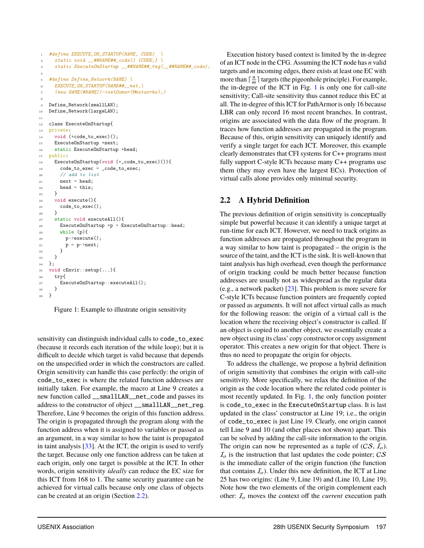```
1 #define EXECUTE_ON_STARTUP(NAME, CODE)
2 static void __##NAME##_code() {CODE;} \
3 static ExecuteOnStartup __##NAME##_reg(__##NAME##_code);
4
5 #define Define_Network(NAME) \
     EXECUTE ON_STARTUP(NAME##__net,\
     7 (new NAME(#NAME))->setOwner(&networks);)
 8
9 Define Network(smallLAN);
10 Define_Network(largeLAN);
11
12 class ExecuteOnStartup{
13 private:
14 void (*code_to_exec)();
15 ExecuteOnStartup *next;
16 static ExecuteOnStartup *head;
17 public:
18 ExecuteOnStartup(void (*_code_to_exec)()){
19 code_to_exec = _code_to_exec;
20 // add to list
21 next = head;
22 head = this;
23 }
24 void execute(){
25 code_to_exec();
26 }
27 static void executeAll(){
28 ExecuteOnStartup *p = ExecuteOnStartup::head;
29 while (p){
30 p->execute();
p = p->next;
32 }
33 }
34 \quad \frac{1}{2};
35 void cEnvir::setup(...){
36 try{
37 ExecuteOnStartup::executeAll();
38 }
39 }
```
Figure 1: Example to illustrate origin sensitivity

sensitivity can distinguish individual calls to code\_to\_exec (because it records each iteration of the while loop); but it is difficult to decide which target is valid because that depends on the unspecified order in which the constructors are called. Origin sensitivity can handle this case perfectly: the origin of code\_to\_exec is where the related function addresses are initially taken. For example, the macro at Line 9 creates a new function called \_\_smallLAN\_\_net\_code and passes its address to the constructor of object \_\_smallLAN\_\_net\_reg. Therefore, Line 9 becomes the origin of this function address. The origin is propagated through the program along with the function address when it is assigned to variables or passed as an argument, in a way similar to how the taint is propagated in taint analysis [\[33\]](#page-17-9). At the ICT, the origin is used to verify the target. Because only one function address can be taken at each origin, only one target is possible at the ICT. In other words, origin sensitivity *ideally* can reduce the EC size for this ICT from 168 to 1. The same security guarantee can be achieved for virtual calls because only one class of objects can be created at an origin (Section [2.2\)](#page-3-1).

Execution history based context is limited by the in-degree of an ICT node in the CFG. Assuming the ICT node has *n* valid targets and *m* incoming edges, there exists at least one EC with more than  $\lceil \frac{n}{m} \rceil$  targets (the pigeonhole principle). For example, the in-degree of the ICT in Fig.  $1$  is only one for call-site sensitivity; Call-site sensitivity thus cannot reduce this EC at all. The in-degree of this ICT for PathArmor is only 16 because LBR can only record 16 most recent branches. In contrast, origins are associated with the data flow of the program. It traces how function addresses are propagated in the program. Because of this, origin sensitivity can uniquely identify and verify a single target for each ICT. Moreover, this example clearly demonstrates that CFI systems for C++ programs must fully support C-style ICTs because many C++ programs use them (they may even have the largest ECs). Protection of virtual calls alone provides only minimal security.

## <span id="page-3-1"></span>**2.2 A Hybrid Definition**

The previous definition of origin sensitivity is conceptually simple but powerful because it can identify a unique target at run-time for each ICT. However, we need to track origins as function addresses are propagated throughout the program in a way similar to how taint is propagated – the origin is the source of the taint, and the ICT is the sink. It is well-known that taint analysis has high overhead, even though the performance of origin tracking could be much better because function addresses are usually not as widespread as the regular data (e.g., a network packet) [\[23\]](#page-16-11). This problem is more severe for C-style ICTs because function pointers are frequently copied or passed as arguments. It will not affect virtual calls as much for the following reason: the origin of a virtual call is the location where the receiving object's constructor is called. If an object is copied to another object, we essentially create a new object using its class' copy constructor or copy assignment operator. This creates a new origin for that object. There is thus no need to propagate the origin for objects.

To address the challenge, we propose a hybrid definition of origin sensitivity that combines the origin with call-site sensitivity. More specifically, we relax the definition of the origin as the code location where the related code pointer is most recently updated. In Fig. [1,](#page-3-0) the only function pointer is code\_to\_exec in the ExecuteOnStartup class. It is last updated in the class' constructor at Line 19; i.e., the origin of code\_to\_exec is just Line 19. Clearly, one origin cannot tell Line 9 and 10 (and other places not shown) apart. This can be solved by adding the call-site information to the origin. The origin can now be represented as a tuple of  $(CS, I_0)$ .  $I<sub>o</sub>$  is the instruction that last updates the code pointer; CS is the immediate caller of the origin function (the function that contains  $I<sub>o</sub>$ ). Under this new definition, the ICT at Line 25 has two origins: (Line 9, Line 19) and (Line 10, Line 19). Note how the two elements of the origin complement each other:  $I<sub>o</sub>$  moves the context off the *current* execution path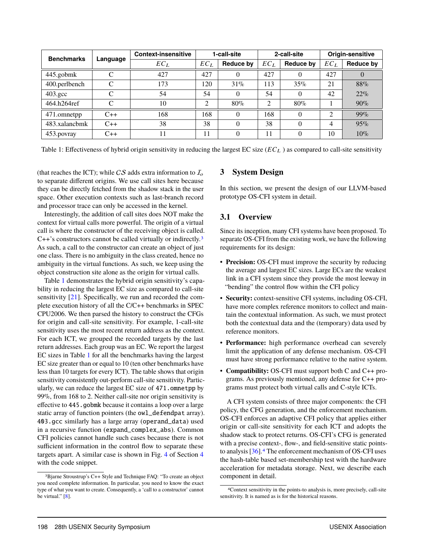<span id="page-4-0"></span>

| <b>Benchmarks</b> | Language | <b>Context-insensitive</b> |        | 1-call-site |                | 2-call-site      | Origin-sensitive |           |  |
|-------------------|----------|----------------------------|--------|-------------|----------------|------------------|------------------|-----------|--|
|                   |          | $EC_L$                     | $EC_L$ | Reduce by   | $EC_L$         | <b>Reduce by</b> | $EC_L$           | Reduce by |  |
| 445.gobmk         | C        | 427                        | 427    | 0           | 427            | $\theta$         | 427              | $\theta$  |  |
| 400.perlbench     | C        | 173                        | 120    | 31%         | 113            | 35%              | 21               | 88%       |  |
| $403.\text{gcc}$  | C        | 54                         | 54     | 0           | 54             | $\Omega$         | 42               | 22%       |  |
| 464.h264ref       | C        | 10                         | 2      | 80%         | $\overline{2}$ | 80%              |                  | 90%       |  |
| 471.omnetpp       | $C++$    | 168                        | 168    | 0           | 168            | $\theta$         | 2                | $99\%$    |  |
| 483.xalancbmk     | $C++$    | 38                         | 38     | 0           | 38             | $\theta$         | 4                | 95%       |  |
| 453.povray        | $C++$    |                            | 11     | 0           | 11             | $\theta$         | 10               | $10\%$    |  |

Table 1: Effectiveness of hybrid origin sensitivity in reducing the largest  $EC$  size  $(EC<sub>L</sub>)$  as compared to call-site sensitivity

(that reaches the ICT); while CS adds extra information to  $I_0$ to separate different origins. We use call sites here because they can be directly fetched from the shadow stack in the user space. Other execution contexts such as last-branch record and processor trace can only be accessed in the kernel.

Interestingly, the addition of call sites does NOT make the context for virtual calls more powerful. The origin of a virtual call is where the constructor of the receiving object is called. C++'s constructors cannot be called virtually or indirectly.<sup>[3](#page-4-1)</sup> As such, a call to the constructor can create an object of just one class. There is no ambiguity in the class created, hence no ambiguity in the virtual functions. As such, we keep using the object construction site alone as the origin for virtual calls.

Table [1](#page-4-0) demonstrates the hybrid origin sensitivity's capability in reducing the largest EC size as compared to call-site sensitivity [\[21\]](#page-16-6). Specifically, we run and recorded the complete execution history of all the C/C++ benchmarks in SPEC CPU2006. We then parsed the history to construct the CFGs for origin and call-site sensitivity. For example, 1-call-site sensitivity uses the most recent return address as the context. For each ICT, we grouped the recorded targets by the last return addresses. Each group was an EC. We report the largest EC sizes in Table [1](#page-4-0) for all the benchmarks having the largest EC size greater than or equal to 10 (ten other benchmarks have less than 10 targets for every ICT). The table shows that origin sensitivity consistently out-perform call-site sensitivity. Particularly, we can reduce the largest EC size of 471.omnetpp by 99%, from 168 to 2. Neither call-site nor origin sensitivity is effective to 445.gobmk because it contains a loop over a large static array of function pointers (the owl\_defendpat array). 403.gcc similarly has a large array (operand\_data) used in a recursive function (expand\_complex\_abs). Common CFI policies cannot handle such cases because there is not sufficient information in the control flow to separate these targets apart. A similar case is shown in Fig. [4](#page-9-0) of Section [4](#page-8-0) with the code snippet.

### **3 System Design**

In this section, we present the design of our LLVM-based prototype OS-CFI system in detail.

## **3.1 Overview**

Since its inception, many CFI systems have been proposed. To separate OS-CFI from the existing work, we have the following requirements for its design:

- **Precision:** OS-CFI must improve the security by reducing the average and largest EC sizes. Large ECs are the weakest link in a CFI system since they provide the most leeway in "bending" the control flow within the CFI policy
- **Security:** context-sensitive CFI systems, including OS-CFI, have more complex reference monitors to collect and maintain the contextual information. As such, we must protect both the contextual data and the (temporary) data used by reference monitors.
- **Performance:** high performance overhead can severely limit the application of any defense mechanism. OS-CFI must have strong performance relative to the native system.
- **Compatibility:** OS-CFI must support both C and C++ programs. As previously mentioned, any defense for C++ programs must protect both virtual calls and C-style ICTs.

A CFI system consists of three major components: the CFI policy, the CFG generation, and the enforcement mechanism. OS-CFI enforces an adaptive CFI policy that applies either origin or call-site sensitivity for each ICT and adopts the shadow stack to protect returns. OS-CFI's CFG is generated with a precise context-, flow-, and field-sensitive static pointsto analysis [\[36\]](#page-17-8).[4](#page-4-2) The enforcement mechanism of OS-CFI uses the hash-table based set-membership test with the hardware acceleration for metadata storage. Next, we describe each component in detail.

<span id="page-4-1"></span><sup>3</sup>Bjarne Stroustrup's C++ Style and Technique FAQ: "To create an object you need complete information. In particular, you need to know the exact type of what you want to create. Consequently, a 'call to a constructor' cannot be virtual."  $[8]$ .

<span id="page-4-2"></span><sup>4</sup>Context sensitivity in the points-to analysis is, more precisely, call-site sensitivity. It is named as is for the historical reasons.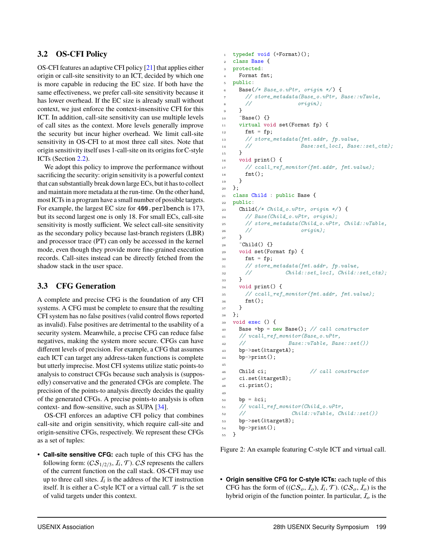## **3.2 OS-CFI Policy**

OS-CFI features an adaptive CFI policy [\[21\]](#page-16-6) that applies either origin or call-site sensitivity to an ICT, decided by which one is more capable in reducing the EC size. If both have the same effectiveness, we prefer call-site sensitivity because it has lower overhead. If the EC size is already small without context, we just enforce the context-insensitive CFI for this ICT. In addition, call-site sensitivity can use multiple levels of call sites as the context. More levels generally improve the security but incur higher overhead. We limit call-site sensitivity in OS-CFI to at most three call sites. Note that origin sensitivity itself uses 1-call-site on its origins for C-style ICTs (Section [2.2\)](#page-3-1).

We adopt this policy to improve the performance without sacrificing the security: origin sensitivity is a powerful context that can substantially break down large ECs, but it has to collect and maintain more metadata at the run-time. On the other hand, most ICTs in a program have a small number of possible targets. For example, the largest EC size for 400.perlbench is 173, but its second largest one is only 18. For small ECs, call-site sensitivity is mostly sufficient. We select call-site sensitivity as the secondary policy because last-branch registers (LBR) and processor trace (PT) can only be accessed in the kernel mode, even though they provide more fine-grained execution records. Call-sites instead can be directly fetched from the shadow stack in the user space.

## **3.3 CFG Generation**

A complete and precise CFG is the foundation of any CFI systems. A CFG must be complete to ensure that the resulting CFI system has no false positives (valid control flows reported as invalid). False positives are detrimental to the usability of a security system. Meanwhile, a precise CFG can reduce false negatives, making the system more secure. CFGs can have different levels of precision. For example, a CFG that assumes each ICT can target any address-taken functions is complete but utterly imprecise. Most CFI systems utilize static points-to analysis to construct CFGs because such analysis is (supposedly) conservative and the generated CFGs are complete. The precision of the points-to analysis directly decides the quality of the generated CFGs. A precise points-to analysis is often context- and flow-sensitive, such as SUPA [\[34\]](#page-17-10).

OS-CFI enforces an adaptive CFI policy that combines call-site and origin sensitivity, which require call-site and origin-sensitive CFGs, respectively. We represent these CFGs as a set of tuples:

• **Call-site sensitive CFG:** each tuple of this CFG has the following form:  $(C{\cal S}_{1/2/3}, {\cal I}_i, {\cal T})$ . CS represents the callers of the current function on the call stack. OS-CFI may use up to three call sites.  $I_i$  is the address of the ICT instruction itself. It is either a C-style ICT or a virtual call.  $\mathcal T$  is the set of valid targets under this context.

```
1 typedef void (*Format)();
2 class Base {
3 protected:
4 Format fmt;
5 public:
6 Base(\nless k Base_o.vPtr, origin */) {
7 // store_metadata(Base_o.vPtr, Base::vTavle,
8 // origin);
9 }
10 ~Base() {}
11 virtual void set(Format fp) {
12 fmt = fp;
13 // store_metadata(fmt.addr, fp.value,
14 // Base:set_loc1, Base::set_ctx);
15 }
16 void print() {
17 // ccall_ref_monitor(fmt.addr, fmt.value);
18 fmt();
19 - \frac{1}{2}20 };
21 class Child : public Base {
22 public:
23 Child(/* Child_o.vPtr, origin */ ) {
24 // Base(Child_o.vPtr, origin);
25 // store_metadata(Child_o.vPtr, Child::vTable,
\frac{26}{7} // \frac{origin)}{3};
27 }
28 ~Child() {}
29 void set(Format fp) {
30 fmt = fp;
31 // store_metadata(fmt.addr, fp.value,
\mbox{\texttt{32}} \qquad \quad \mbox{\texttt{77}} \qquad \quad \mbox{\texttt{Child}}: \mbox{\texttt{set\_loc1}}, \ \mbox{\texttt{Child}}: \mbox{\texttt{set\_ctx}} \, ;33 }
34 void print() {
35 // ccall_ref_monitor(fmt.addr, fmt.value);
36 fmt();
37 }
38 };
39 void exec () {
40 Base *bp = new Base(); // call constructor
41 // vcall_ref_monitor(Base_o.vPtr,
42 // Base::vTable, Base::set())
43 bp->set(&targetA);
_{44} bp->print();
45
46 Child ci; // call constructor
47 ci.set(&targetB);
48 ci.print();
49
_{50} bp = &ci;
51 \hspace{15mm} // \hspace{3mm} total\_ref\_monitor(Child\_o.vPtr,52 // Child::vTable, Child::set())
53 bp->set(&targetB);
_{54} bp->print();
55 }
```
Figure 2: An example featuring C-style ICT and virtual call.

• **Origin sensitive CFG for C-style ICTs:** each tuple of this CFG has the form of  $((CS_o, I_o), I_i, \mathcal{T})$ .  $(CS_o, I_o)$  is the hybrid origin of the function pointer. In particular,  $I<sub>o</sub>$  is the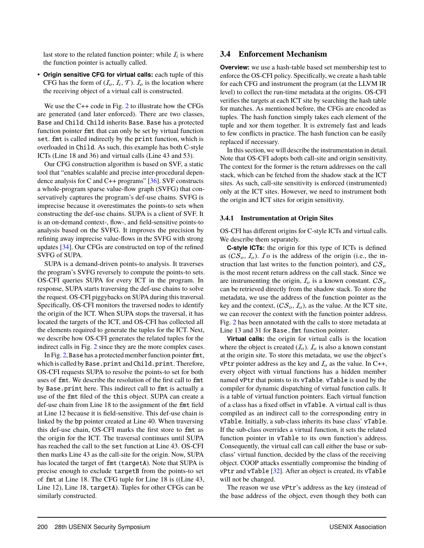last store to the related function pointer; while  $I_i$  is where the function pointer is actually called.

• **Origin sensitive CFG for virtual calls:** each tuple of this CFG has the form of  $(I_o, I_i, T)$ .  $I_o$  is the location where the receiving object of a virtual call is constructed.

We use the C++ code in Fig. [2](#page-5-0) to illustrate how the CFGs are generated (and later enforced). There are two classes, Base and Child. Child inherits Base. Base has a protected function pointer fmt that can only be set by virtual function set. fmt is called indirectly by the print function, which is overloaded in Child. As such, this example has both C-style ICTs (Line 18 and 36) and virtual calls (Line 43 and 53).

Our CFG construction algorithm is based on SVF, a static tool that "enables scalable and precise inter-procedural dependence analysis for C and C++ programs"  $[36]$ . SVF constructs a whole-program sparse value-flow graph (SVFG) that conservatively captures the program's def-use chains. SVFG is imprecise because it overestimates the points-to sets when constructing the def-use chains. SUPA is a client of SVF. It is an on-demand context-, flow-, and field-sensitive points-to analysis based on the SVFG. It improves the precision by refining away imprecise value-flows in the SVFG with strong updates [\[34\]](#page-17-10). Our CFGs are constructed on top of the refined SVFG of SUPA.

SUPA is a demand-driven points-to analysis. It traverses the program's SVFG reversely to compute the points-to sets. OS-CFI queries SUPA for every ICT in the program. In response, SUPA starts traversing the def-use chains to solve the request. OS-CFI piggybacks on SUPA during this traversal. Specifically, OS-CFI monitors the traversed nodes to identify the origin of the ICT. When SUPA stops the traversal, it has located the targets of the ICT, and OS-CFI has collected all the elements required to generate the tuples for the ICT. Next, we describe how OS-CFI generates the related tuples for the indirect calls in Fig. [2](#page-5-0) since they are the more complex cases.

In Fig. [2,](#page-5-0) Base has a protected member function pointer fmt, which is called by Base.print and Child.print. Therefore, OS-CFI requests SUPA to resolve the points-to set for both uses of fmt. We describe the resolution of the first call to fmt by Base.print here. This indirect call to fmt is actually a use of the fmt filed of the this object. SUPA can create a def-use chain from Line 18 to the assignment of the fmt field at Line 12 because it is field-sensitive. This def-use chain is linked by the bp pointer created at Line 40. When traversing this def-use chain, OS-CFI marks the first store to fmt as the origin for the ICT. The traversal continues until SUPA has reached the call to the set function at Line 43. OS-CFI then marks Line 43 as the call-site for the origin. Now, SUPA has located the target of fmt (targetA). Note that SUPA is precise enough to exclude targetB from the points-to set of fmt at Line 18. The CFG tuple for Line 18 is ((Line 43, Line 12), Line 18, targetA). Tuples for other CFGs can be similarly constructed.

#### **3.4 Enforcement Mechanism**

**Overview:** we use a hash-table based set membership test to enforce the OS-CFI policy. Specifically, we create a hash table for each CFG and instrument the program (at the LLVM IR level) to collect the run-time metadata at the origins. OS-CFI verifies the targets at each ICT site by searching the hash table for matches. As mentioned before, the CFGs are encoded as tuples. The hash function simply takes each element of the tuple and xor them together. It is extremely fast and leads to few conflicts in practice. The hash function can be easily replaced if necessary.

In this section, we will describe the instrumentation in detail. Note that OS-CFI adopts both call-site and origin sensitivity. The context for the former is the return addresses on the call stack, which can be fetched from the shadow stack at the ICT sites. As such, call-site sensitivity is enforced (instrumented) only at the ICT sites. However, we need to instrument both the origin and ICT sites for origin sensitivity.

#### **3.4.1 Instrumentation at Origin Sites**

OS-CFI has different origins for C-style ICTs and virtual calls. We describe them separately.

**C-style ICTs:** the origin for this type of ICTs is defined as  $(CS<sub>o</sub>, I<sub>o</sub>)$ . To is the address of the origin (i.e., the instruction that last writes to the function pointer), and  $CS<sub>o</sub>$ is the most recent return address on the call stack. Since we are instrumenting the origin,  $I_0$  is a known constant.  $CS_0$ can be retrieved directly from the shadow stack. To store the metadata, we use the address of the function pointer as the key and the context,  $(CS_o, I_o)$ , as the value. At the ICT site, we can recover the context with the function pointer address. Fig. [2](#page-5-0) has been annotated with the calls to store metadata at Line 13 and 31 for Base. fmt function pointer.

**Virtual calls:** the origin for virtual calls is the location where the object is created  $(I<sub>o</sub>)$ .  $I<sub>o</sub>$  is also a known constant at the origin site. To store this metadata, we use the object's vPtr pointer address as the key and  $I_0$  as the value. In C++, every object with virtual functions has a hidden member named vPtr that points to its vTable. vTable is used by the compiler for dynamic dispatching of virtual function calls. It is a table of virtual function pointers. Each virtual function of a class has a fixed offset in vTable. A virtual call is thus compiled as an indirect call to the corresponding entry in vTable. Initially, a sub-class inherits its base class' vTable. If the sub-class overrides a virtual function, it sets the related function pointer in vTable to its own function's address. Consequently, the virtual call can call either the base or subclass' virtual function, decided by the class of the receiving object. COOP attacks essentially compromise the binding of vPtr and vTable [\[32\]](#page-17-11). After an object is created, its vTable will not be changed.

The reason we use vPtr's address as the key (instead of the base address of the object, even though they both can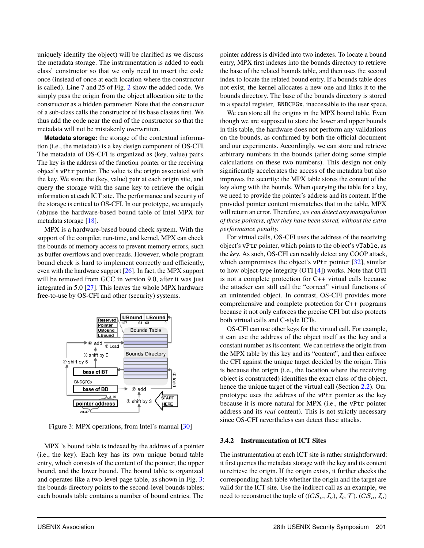uniquely identify the object) will be clarified as we discuss the metadata storage. The instrumentation is added to each class' constructor so that we only need to insert the code once (instead of once at each location where the constructor is called). Line 7 and 25 of Fig. [2](#page-5-0) show the added code. We simply pass the origin from the object allocation site to the constructor as a hidden parameter. Note that the constructor of a sub-class calls the constructor of its base classes first. We thus add the code near the end of the constructor so that the metadata will not be mistakenly overwritten.

**Metadata storage:** the storage of the contextual information (i.e., the metadata) is a key design component of OS-CFI. The metadata of OS-CFI is organized as (key, value) pairs. The key is the address of the function pointer or the receiving object's vPtr pointer. The value is the origin associated with the key. We store the (key, value) pair at each origin site, and query the storage with the same key to retrieve the origin information at each ICT site. The performance and security of the storage is critical to OS-CFI. In our prototype, we uniquely (ab)use the hardware-based bound table of Intel MPX for metadata storage [\[18\]](#page-16-14).

MPX is a hardware-based bound check system. With the support of the compiler, run-time, and kernel, MPX can check the bounds of memory access to prevent memory errors, such as buffer overflows and over-reads. However, whole program bound check is hard to implement correctly and efficiently, even with the hardware support  $[26]$ . In fact, the MPX support will be removed from GCC in version 9.0, after it was just integrated in 5.0 [\[27\]](#page-17-13). This leaves the whole MPX hardware free-to-use by OS-CFI and other (security) systems.

<span id="page-7-0"></span>

Figure 3: MPX operations, from Intel's manual [\[30\]](#page-17-14)

MPX 's bound table is indexed by the address of a pointer (i.e., the key). Each key has its own unique bound table entry, which consists of the content of the pointer, the upper bound, and the lower bound. The bound table is organized and operates like a two-level page table, as shown in Fig. [3:](#page-7-0) the bounds directory points to the second-level bounds tables; each bounds table contains a number of bound entries. The

pointer address is divided into two indexes. To locate a bound entry, MPX first indexes into the bounds directory to retrieve the base of the related bounds table, and then uses the second index to locate the related bound entry. If a bounds table does not exist, the kernel allocates a new one and links it to the bounds directory. The base of the bounds directory is stored in a special register, BNDCFGx, inaccessible to the user space.

We can store all the origins in the MPX bound table. Even though we are supposed to store the lower and upper bounds in this table, the hardware does not perform any validations on the bounds, as confirmed by both the official document and our experiments. Accordingly, we can store and retrieve arbitrary numbers in the bounds (after doing some simple calculations on these two numbers). This design not only significantly accelerates the access of the metadata but also improves the security: the MPX table stores the content of the key along with the bounds. When querying the table for a key, we need to provide the pointer's address and its content. If the provided pointer content mismatches that in the table, MPX will return an error. Therefore, *we can detect any manipulation of these pointers, after they have been stored, without the extra performance penalty.*

For virtual calls, OS-CFI uses the address of the receiving object's vPtr pointer, which points to the object's vTable, as the *key*. As such, OS-CFI can readily detect any COOP attack, which compromises the object's vPtr pointer [\[32\]](#page-17-11), similar to how object-type integrity (OTI [\[4\]](#page-15-3)) works. Note that OTI is not a complete protection for C++ virtual calls because the attacker can still call the "correct" virtual functions of an unintended object. In contrast, OS-CFI provides more comprehensive and complete protection for C++ programs because it not only enforces the precise CFI but also protects both virtual calls and C-style ICTs.

OS-CFI can use other keys for the virtual call. For example, it can use the address of the object itself as the key and a constant number as its content. We can retrieve the origin from the MPX table by this key and its "content", and then enforce the CFI against the unique target decided by the origin. This is because the origin (i.e., the location where the receiving object is constructed) identifies the exact class of the object, hence the unique target of the virtual call (Section [2.2\)](#page-3-1). Our prototype uses the address of the vPtr pointer as the key because it is more natural for MPX (i.e., the vPtr pointer address and its *real* content). This is not strictly necessary since OS-CFI nevertheless can detect these attacks.

#### **3.4.2 Instrumentation at ICT Sites**

The instrumentation at each ICT site is rather straightforward: it first queries the metadata storage with the key and its content to retrieve the origin. If the origin exists, it further checks the corresponding hash table whether the origin and the target are valid for the ICT site. Use the indirect call as an example, we need to reconstruct the tuple of  $((CS_o, I_o), I_i, \mathcal{T})$ .  $(CS_o, I_o)$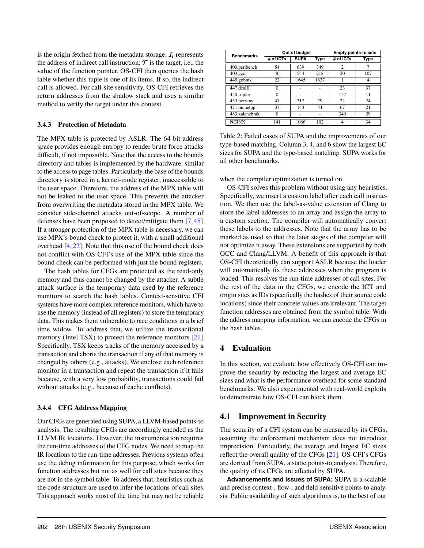is the origin fetched from the metadata storage;  $I_i$  represents the address of indirect call instruction;  $T$  is the target, i.e., the value of the function pointer. OS-CFI then queries the hash table whether this tuple is one of its items. If so, the indirect call is allowed. For call-site sensitivity, OS-CFI retrieves the return addresses from the shadow stack and uses a similar method to verify the target under this context.

#### **3.4.3 Protection of Metadata**

The MPX table is protected by ASLR. The 64-bit address space provides enough entropy to render brute force attacks difficult, if not impossible. Note that the access to the bounds directory and tables is implemented by the hardware, similar to the access to page tables. Particularly, the base of the bounds directory is stored in a kernel-mode register, inaccessible to the user space. Therefore, the address of the MPX table will not be leaked to the user space. This prevents the attacker from overwriting the metadata stored in the MPX table. We consider side-channel attacks out-of-scope. A number of defenses have been proposed to detect/mitigate them [\[7,](#page-16-15) [45\]](#page-17-15). If a stronger protection of the MPX table is necessary, we can use MPX's bound check to protect it, with a small additional overhead [\[4,](#page-15-3) [22\]](#page-16-16). Note that this use of the bound check does not conflict with OS-CFI's use of the MPX table since the bound check can be performed with just the bound registers.

The hash tables for CFGs are protected as the read-only memory and thus cannot be changed by the attacker. A subtle attack surface is the temporary data used by the reference monitors to search the hash tables. Context-sensitive CFI systems have more complex reference monitors, which have to use the memory (instead of all registers) to store the temporary data. This makes them vulnerable to race conditions in a brief time widow. To address that, we utilize the transactional memory (Intel TSX) to protect the reference monitors [\[21\]](#page-16-6). Specifically, TSX keeps tracks of the memory accessed by a transaction and aborts the transaction if any of that memory is changed by others (e.g., attacks). We enclose each reference monitor in a transaction and repeat the transaction if it fails because, with a very low probability, transactions could fail without attacks (e.g., because of cache conflicts).

#### **3.4.4 CFG Address Mapping**

Our CFGs are generated using SUPA, a LLVM-based points-to analysis. The resulting CFGs are accordingly encoded as the LLVM IR locations. However, the instrumentation requires the run-time addresses of the CFG nodes. We need to map the IR locations to the run-time addresses. Previous systems often use the debug information for this purpose, which works for function addresses but not as well for call sites because they are not in the symbol table. To address that, heuristics such as the code structure are used to infer the locations of call sites. This approach works most of the time but may not be reliable

<span id="page-8-1"></span>

| <b>Benchmarks</b> |                          | Out of budget |      | <b>Empty points-to sets</b> |      |  |
|-------------------|--------------------------|---------------|------|-----------------------------|------|--|
|                   | <b>SUPA</b><br># of ICTs |               | Type | # of ICTs                   | Type |  |
| 400.perlbench     | 54                       | 639           | 349  | $\overline{c}$              | 7    |  |
| $403.\text{gcc}$  | 46                       | 544           | 218  | 20                          | 107  |  |
| 445.gobmk         | 22                       | 1645          | 1637 |                             | 4    |  |
| 447.dealII        | $\Omega$                 |               |      | 23                          | 37   |  |
| 450.soplex        | $\Omega$                 | ۰             | ۰    | 157                         | 11   |  |
| 453.porvray       | 47                       | 317           | 79   | 22                          | 24   |  |
| 471.omnetpp       | 37                       | 143           | 44   | 67                          | 21   |  |
| 483.xalancbmk     | $\Omega$                 |               |      | 349                         | 29   |  |
| <b>NGINX</b>      | 141                      | 1066          | 102  | $\overline{4}$              | 34   |  |

Table 2: Failed cases of SUPA and the improvements of our type-based matching. Column 3, 4, and 6 show the largest EC sizes for SUPA and the type-based matching. SUPA works for all other benchmarks.

when the compiler optimization is turned on.

OS-CFI solves this problem without using any heuristics. Specifically, we insert a custom label after each call instruction. We then use the label-as-value extension of Clang to store the label addresses to an array and assign the array to a custom section. The compiler will automatically convert these labels to the addresses. Note that the array has to be marked as used so that the later stages of the compiler will not optimize it away. These extensions are supported by both GCC and Clang/LLVM. A benefit of this approach is that OS-CFI theoretically can support ASLR because the loader will automatically fix these addresses when the program is loaded. This resolves the run-time addresses of call sites. For the rest of the data in the CFGs, we encode the ICT and origin sites as IDs (specifically the hashes of their source code locations) since their concrete values are irrelevant. The target function addresses are obtained from the symbol table. With the address mapping information, we can encode the CFGs in the hash tables.

## <span id="page-8-0"></span>**4 Evaluation**

In this section, we evaluate how effectively OS-CFI can improve the security by reducing the largest and average EC sizes and what is the performance overhead for some standard benchmarks. We also experimented with real-world exploits to demonstrate how OS-CFI can block them.

## **4.1 Improvement in Security**

The security of a CFI system can be measured by its CFGs, assuming the enforcement mechanism does not introduce imprecision. Particularly, the average and largest EC sizes reflect the overall quality of the CFGs [\[21\]](#page-16-6). OS-CFI's CFGs are derived from SUPA, a static points-to analysis. Therefore, the quality of its CFGs are affected by SUPA.

**Advancements and issues of SUPA:** SUPA is a scalable and precise context-, flow-, and field-sensitive points-to analysis. Public availability of such algorithms is, to the best of our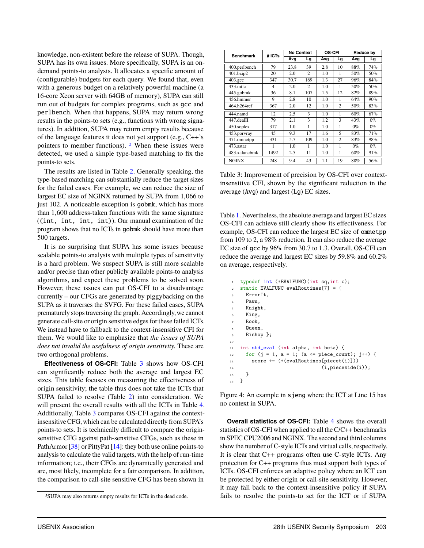knowledge, non-existent before the release of SUPA. Though, SUPA has its own issues. More specifically, SUPA is an ondemand points-to analysis. It allocates a specific amount of (configurable) budgets for each query. We found that, even with a generous budget on a relatively powerful machine (a 16-core Xeon server with 64GB of memory), SUPA can still run out of budgets for complex programs, such as gcc and perlbench. When that happens, SUPA may return wrong results in the points-to sets (e.g., functions with wrong signatures). In addition, SUPA may return empty results because of the language features it does not yet support (e.g., C++'s pointers to member functions). [5](#page-9-1) When these issues were detected, we used a simple type-based matching to fix the points-to sets.

The results are listed in Table [2.](#page-8-1) Generally speaking, the type-based matching can substantially reduce the target sizes for the failed cases. For example, we can reduce the size of largest EC size of NGINX returned by SUPA from <sup>1</sup>,<sup>066</sup> to just 102. A noticeable exception is gobmk, which has more than <sup>1</sup>,<sup>600</sup> address-taken functions with the same signature ((int, int, int, int)). Our manual examination of the program shows that no ICTs in gobmk should have more than 500 targets.

It is no surprising that SUPA has some issues because scalable points-to analysis with multiple types of sensitivity is a hard problem. We suspect SUPA is still more scalable and/or precise than other publicly available points-to analysis algorithms, and expect these problems to be solved soon. However, these issues can put OS-CFI to a disadvantage currently – our CFGs are generated by piggybacking on the SUPA as it traverses the SVFG. For these failed cases, SUPA prematurely stops traversing the graph. Accordingly, we cannot generate call-site or origin sensitive edges for these failed ICTs. We instead have to fallback to the context-insensitive CFI for them. We would like to emphasize that *the issues of SUPA does not invalid the usefulness of origin sensitivity.* These are two orthogonal problems.

**Effectiveness of OS-CFI:** Table [3](#page-9-2) shows how OS-CFI can significantly reduce both the average and largest EC sizes. This table focuses on measuring the effectiveness of origin sensitivity; the table thus does not take the ICTs that SUPA failed to resolve (Table [2\)](#page-8-1) into consideration. We will present the overall results with all the ICTs in Table [4.](#page-10-0) Additionally, Table [3](#page-9-2) compares OS-CFI against the contextinsensitive CFG, which can be calculated directly from SUPA's points-to sets. It is technically difficult to compare the originsensitive CFG against path-sensitive CFGs, such as these in PathArmor [\[38\]](#page-17-3) or PittyPat [\[14\]](#page-16-3): they both use online points-to analysis to calculate the valid targets, with the help of run-time information; i.e., their CFGs are dynamically generated and are, most likely, incomplete for a fair comparison. In addition, the comparison to call-site sensitive CFG has been shown in

<span id="page-9-2"></span>

| <b>Benchmark</b> | # ICTs | <b>No Context</b> |                | <b>OS-CFI</b> |                          | <b>Reduce by</b> |       |  |
|------------------|--------|-------------------|----------------|---------------|--------------------------|------------------|-------|--|
|                  |        | Avq               | Lg             | Avq           | Lg                       | Avg              | Lg    |  |
| 400.perlbench    | 79     | 23.8              | 39             | 2.8           | 10                       | 88%              | 74%   |  |
| 401.bzip2        | 20     | 2.0               | $\mathfrak{D}$ | 1.0           | 1                        | 50%              | 50%   |  |
| $403.\text{gcc}$ | 347    | 30.7              | 169            | 1.3           | 27                       | 96%              | 84%   |  |
| 433.milc         | 4      | 2.0               | $\mathfrak{D}$ | 1.0           | 1                        | 50%              | 50%   |  |
| 445.gobmk        | 36     | 8.1               | 107            | 1.5           | 12                       | 82%              | 89%   |  |
| 456.hmmer        | 9      | 2.8               | 10             | 1.0           | 1                        | 64%              | 90%   |  |
| 464.h264ref      | 367    | 2.0               | 12             | 1.0           | $\overline{c}$           | 50%              | 83%   |  |
| 444.namd         | 12     | 2.5               | 3              | 1.0           | 1                        | 60%              | 67%   |  |
| 447.dealII       | 79     | 2.1               | 3              | 1.2           | 3                        | 43%              | $0\%$ |  |
| 450.soplex       | 317    | 1.0               | 1              | 1.0           | 1                        | $0\%$            | $0\%$ |  |
| 453.porvray      | 45     | 9.3               | 17             | 1.6           | $\overline{\phantom{0}}$ | 83%              | 71%   |  |
| 471.omnetpp      | 331    | 5.7               | 109            | 1.0           | $\overline{c}$           | 83%              | 98%   |  |
| 473 astar        | 1      | 1.0               | 1              | 1.0           | 1                        | $0\%$            | $0\%$ |  |
| 483.xalanchmk    | 1492   | 2.5               | 11             | 1.0           | 1                        | 60%              | 91%   |  |
| <b>NGINX</b>     | 248    | 9.4               | 43             | 1.1           | 19                       | 88%              | 56%   |  |

Table 3: Improvement of precision by OS-CFI over contextinsensitive CFI, shown by the significant reduction in the average (Avg) and largest (Lg) EC sizes.

Table [1.](#page-4-0) Nevertheless, the absolute average and largest EC sizes OS-CFI can achieve still clearly show its effectiveness. For example, OS-CFI can reduce the largest EC size of omnetpp from 109 to 2, a 98% reduction. It can also reduce the average EC size of gcc by 96% from <sup>30</sup>.<sup>7</sup> to <sup>1</sup>.3. Overall, OS-CFI can reduce the average and largest EC sizes by 59.8% and 60.2% on average, respectively.

```
1 typedef int (*EVALFUNC)(int sq, int c);
2 static EVALFUNC evalRoutines[7] = {
3 ErrorIt,
     Pawn.
     Knight,
6 King,
7 Rook,
8 Queen,
     Bishop };
10
11 int std_eval (int alpha, int beta) {
12 for (j = 1, a = 1; (a \leq piece_count); j++) {
13 score += (*(evalRoutines[piecet(i)]))
14 (i, pieceside(i));
15 }
16 }
```
Figure 4: An example in sjeng where the ICT at Line 15 has no context in SUPA.

**Overall statistics of OS-CFI:** Table [4](#page-10-0) shows the overall statistics of OS-CFI when applied to all the C/C++ benchmarks in SPEC CPU2006 and NGINX. The second and third columns show the number of C-style ICTs and virtual calls, respectively. It is clear that C++ programs often use C-style ICTs. Any protection for C++ programs thus must support both types of ICTs. OS-CFI enforces an adaptive policy where an ICT can be protected by either origin or call-site sensitivity. However, it may fall back to the context-insensitive policy if SUPA fails to resolve the points-to set for the ICT or if SUPA

<span id="page-9-1"></span><sup>5</sup>SUPA may also returns empty results for ICTs in the dead code.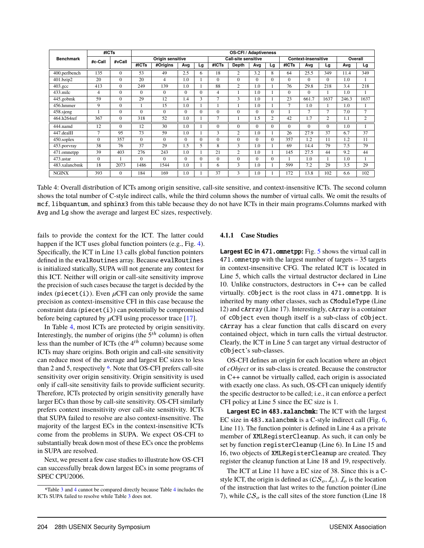<span id="page-10-0"></span>

|                  | #ICTs          |                  |                  |          |          |          | <b>OS-CFI / Adaptiveness</b> |                |          |                            |                |                |                |       |                |
|------------------|----------------|------------------|------------------|----------|----------|----------|------------------------------|----------------|----------|----------------------------|----------------|----------------|----------------|-------|----------------|
| <b>Benchmark</b> | #c-Call        | #vCall           | Origin sensitive |          |          |          | <b>Call-site sensitive</b>   |                |          | <b>Context-insensitive</b> |                |                | Overall        |       |                |
|                  |                |                  | #ICTs            | #Origins | Avg      | Lg       | #ICTs                        | Depth          | Avq      | Lg                         | #ICTs          | Avg            | Lg             | Avg   | Lg             |
| 400.perlbench    | 135            | $\Omega$         | 53               | 49       | 2.5      | 6        | 18                           | $\overline{2}$ | 3.2      | 8                          | 64             | 25.5           | 349            | 11.4  | 349            |
| 401.bzip2        | 20             | $\Omega$         | 20               | 4        | 1.0      |          | $\Omega$                     | $\Omega$       | $\Omega$ | $\Omega$                   | $\Omega$       | $\Omega$       | 0              | 1.0   |                |
| $403.\text{gcc}$ | 413            | $\Omega$         | 249              | 139      | 1.0      |          | 88                           | $\overline{2}$ | 1.0      |                            | 76             | 29.8           | 218            | 3.4   | 218            |
| $433$ .milc      | $\overline{4}$ | $\mathbf{0}$     | $\Omega$         | $\Omega$ | $\Omega$ | $\Omega$ | 4                            |                | 1.0      |                            | $\Omega$       | $\Omega$       |                | 1.0   |                |
| 445.gobmk        | 59             | $\Omega$         | 29               | 12       | 1.4      | 3        | $\overline{7}$               | 3              | 1.0      |                            | 23             | 661.7          | 1637           | 246.3 | 1637           |
| 456.hmmer        | 9              | $\Omega$         |                  | 15       | 1.0      |          |                              |                | 1.0      |                            | $\overline{7}$ | 1.0            |                | 1.0   |                |
| 458.sjeng        |                | $\Omega$         | $\Omega$         | $\theta$ | $\Omega$ | $\Omega$ | $\Omega$                     | $\Omega$       | $\Omega$ | $\Omega$                   |                | $\overline{7}$ | $\overline{7}$ | 7.0   | 7              |
| 464.h264ref      | 367            | $\Omega$         | 318              | 52       | 1.0      |          | $\overline{7}$               |                | 1.5      | $\overline{c}$             | 42             | 1.7            | 2              | 1.1   | $\mathfrak{2}$ |
| 444.namd         | 12             | $\theta$         | 12               | 30       | 1.0      |          | $\Omega$                     | $\Omega$       | $\Omega$ | $\Omega$                   | $\Omega$       | $\Omega$       | 0              | 1.0   |                |
| 447.dealII       | $\overline{7}$ | 95               | 73               | 59       | 1.0      |          | 3                            | $\overline{2}$ | 1.0      |                            | 26             | 27.9           | 37             | 6.7   | 37             |
| 450.soplex       | $\Omega$       | 357              | $\Omega$         | $\theta$ | $\Omega$ | $\Omega$ | $\Omega$                     | $\Omega$       | $\Omega$ | $\Omega$                   | 357            | 1.2            | 11             | 1.2   | 11             |
| 453.porvray      | 38             | 76               | 37               | 29       | 1.5      |          | 8                            | 3              | 1.0      |                            | 69             | 14.4           | 79             | 7.5   | 79             |
| 471.omnetpp      | 39             | 403              | 276              | 243      | 1.0      |          | 21                           | $\overline{2}$ | 1.0      |                            | 145            | 27.5           | 44             | 9.2   | 44             |
| 473.astar        | $\Omega$       |                  | $\Omega$         | $\Omega$ | $\Omega$ | $\Omega$ | $\Omega$                     | $\Omega$       | $\Omega$ | $\Omega$                   |                | 1.0            |                | 1.0   |                |
| 483.xalancbmk    | 18             | 2073             | 1486             | 1544     | 1.0      |          | 6                            | 3              | 1.0      |                            | 599            | 7.2            | 29             | 3.5   | 29             |
| <b>NGINX</b>     | 393            | $\boldsymbol{0}$ | 184              | 169      | 1.0      |          | 37                           | 3              | 1.0      |                            | 172            | 13.8           | 102            | 6.6   | 102            |

Table 4: Overall distribution of ICTs among origin sensitive, call-site sensitive, and context-insensitive ICTs. The second column shows the total number of C-style indirect calls, while the third column shows the number of virtual calls. We omit the results of mcf, libquantum, and sphinx3 from this table because they do not have ICTs in their main programs.Columns marked with Avg and Lg show the average and largest EC sizes, respectively.

fails to provide the context for the ICT. The latter could happen if the ICT uses global function pointers (e.g., Fig. [4\)](#page-9-0). Specifically, the ICT in Line 13 calls global function pointers defined in the evalRoutines array. Because evalRoutines is initialized statically, SUPA will not generate any context for this ICT. Neither will origin or call-site sensitivity improve the precision of such cases because the target is decided by the index (piecet(i)). Even  $\mu$ CFI can only provide the same precision as context-insensitive CFI in this case because the constraint data  $(piecet(i))$  can potentially be compromised before being captured by  $\mu$ CFI using processor trace [\[17\]](#page-16-5).

In Table [4,](#page-10-0) most ICTs are protected by origin sensitivity. Interestingly, the number of origins (the  $5<sup>th</sup>$  column) is often less than the number of ICTs (the  $4<sup>th</sup>$  column) because some ICTs may share origins. Both origin and call-site sensitivity can reduce most of the average and largest EC sizes to less than 2 and 5, respectively <sup>[6](#page-10-1)</sup>. Note that OS-CFI prefers call-site sensitivity over origin sensitivity. Origin sensitivity is used only if call-site sensitivity fails to provide sufficient security. Therefore, ICTs protected by origin sensitivity generally have larger ECs than those by call-site sensitivity. OS-CFI similarly prefers context insensitivity over call-site sensitivity. ICTs that SUPA failed to resolve are also context-insensitive. The majority of the largest ECs in the context-insensitive ICTs come from the problems in SUPA. We expect OS-CFI to substantially break down most of these ECs once the problems in SUPA are resolved.

Next, we present a few case studies to illustrate how OS-CFI can successfully break down largest ECs in some programs of SPEC CPU2006.

#### **4.1.1 Case Studies**

**Largest EC in** 471.omnetpp**:** Fig. [5](#page-11-0) shows the virtual call in 471.omnetpp with the largest number of targets – 35 targets in context-insensitive CFG. The related ICT is located in Line 5, which calls the virtual destructor declared in Line 10. Unlike constructors, destructors in C++ can be called virtually. cObject is the root class in 471.omnetpp. It is inherited by many other classes, such as CModuleType (Line 12) and cArray (Line 17). Interestingly, cArray is a container of cObject even though itself is a sub-class of cObject. cArray has a clear function that calls discard on every contained object, which in turn calls the virtual destructor. Clearly, the ICT in Line 5 can target any virtual destructor of cObject's sub-classes.

OS-CFI defines an origin for each location where an object of *cObject* or its sub-class is created. Because the constructor in C++ cannot be virtually called, each origin is associated with exactly one class. As such, OS-CFI can uniquely identify the specific destructor to be called; i.e., it can enforce a perfect CFI policy at Line 5 since the EC size is 1.

**Largest EC in** 483.xalancbmk**:** The ICT with the largest EC size in 483.xalancbmk is a C-style indirect call (Fig. [6,](#page-11-1) Line 11). The function pointer is defined in Line 4 as a private member of XMLRegisterCleanup. As such, it can only be set by function registerCleanup (Line 6). In Line 15 and 16, two objects of XMLRegisterCleanup are created. They register the cleanup function at Line 18 and 19, respectively.

The ICT at Line 11 have a EC size of 38. Since this is a Cstyle ICT, the origin is defined as  $(CS_o, I_o)$ .  $I_o$  is the location of the instruction that last writes to the function pointer (Line 7), while  $CS<sub>o</sub>$  is the call sites of the store function (Line 18)

<span id="page-10-1"></span><sup>6</sup>Table [3](#page-9-2) and [4](#page-10-0) cannot be compared directly because Table [4](#page-10-0) includes the ICTs SUPA failed to resolve while Table [3](#page-9-2) does not.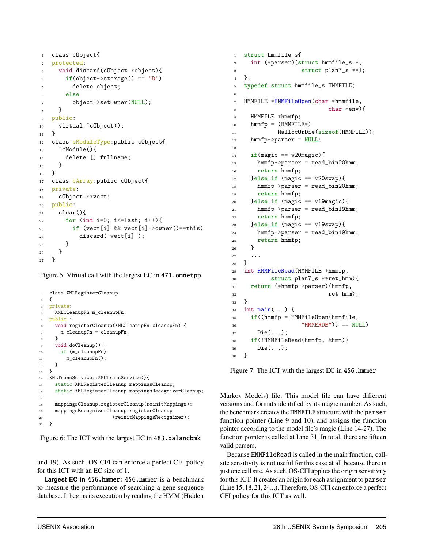```
1 class cObject{
2 protected:
3 void discard(cObject *object){
\text{if}(\text{object}\rightarrow \text{storage}() == 'D')5 delete object;
6 else
7 object->set0wner(NULL);
8 }
9 public:
10 virtual \tilde{c}Object();
11 - \frac{1}{2}12 class cModuleType:public cObject{
13 \sim cModule(){
14 delete [] fullname;
15 }
16 }
17 class cArray: public cObject{
18 private:
19 cObject **vect;
20 public:
_{21} clear(){
22 for (int i=0; i <= last; i ++){
23 if (vect[i] && vect[i]->owner()==this)
24 discard( vect[i] );
25 }
26 }
27 }
```
Figure 5: Virtual call with the largest EC in 471.omnetpp

```
1 class XMLRegisterCleanup
\overline{2}3 private:
    4 XMLCleanupFn m_cleanupFn;
5 public :
6 void registerCleanup(XMLCleanupFn cleanupFn) {
       m_ccleanupFn = cleanupFn;
8 }
9 void doCleanup() {
10 if (m_cleanupFn)
11 m_cleanupFn();
12 }
13 }
14 XMLTransService::XMLTransService(){
15 static XMLRegisterCleanup mappingsCleanup;
16 static XMLRegisterCleanup mappingsRecognizerCleanup;
17
18 mappingsCleanup.registerCleanup(reinitMappings);
19 mappingsRecognizerCleanup.registerCleanup
20 (reinitMappingsRecognizer);
21 }
```
Figure 6: The ICT with the largest EC in 483.xalancbmk

and 19). As such, OS-CFI can enforce a perfect CFI policy for this ICT with an EC size of 1.

**Largest EC in** 456.hmmer**:** 456.hmmer is a benchmark to measure the performance of searching a gene sequence database. It begins its execution by reading the HMM (Hidden

```
1 struct hmmfile_s{
2 int (*parser)(struct hmmfile_s *,
3 struct plan7_s **);
4 };
5 typedef struct hmmfile_s HMMFILE;
6
   HMMFILE *HMMFileOpen(char *hmmfile,
                        char *env)9 HMMFILE *hmmfp;
_{10} hmmfp = (HMMFILE*)
11 MallocOrDie(sizeof(HMMFILE));
12 hmmfp->parser = NULL;
13
_{14} if (magic == v20magic) {
hmmfp->parser = read_bin20hmm;
16 return hmmfp;
17 }else if (magic == v20swap){
18 hmmfp->parser = read_bin20hmm;
19 return hmmfp;
20 }else if (magic == v19magic){
21 hmmfp->parser = read_bin19hmm;
22 return hmmfp;
_{23} }else if (magic == v19swap){
hmmfp->parser = read_bin19hmm;
25 return hmmfp;
26 }
27 ...
28 }
29 int HMMFileRead(HMMFILE *hmmfp,
30 struct plan7_s **ret_hmm){
31 return (*hmmfp->parser)(hmmfp,
32 ret_hmm);
33 }
34 int main(...) {
35 if ((hmmfp = HMMFileOpen(hmmfile,
36 "HMMERDB")) == NULL)
37 Die(...);
38 if(!HMMFileRead(hmmfp, &hmm))
39 Die(...);
40 }
```
Figure 7: The ICT with the largest EC in 456.hmmer

Markov Models) file. This model file can have different versions and formats identified by its magic number. As such, the benchmark creates the HMMFILE structure with the parser function pointer (Line 9 and 10), and assigns the function pointer according to the model file's magic (Line 14-27). The function pointer is called at Line 31. In total, there are fifteen valid parsers.

Because HMMFileRead is called in the main function, callsite sensitivity is not useful for this case at all because there is just one call site. As such, OS-CFI applies the origin sensitivity for this ICT. It creates an origin for each assignment to parser (Line 15, 18, 21, 24...). Therefore, OS-CFI can enforce a perfect CFI policy for this ICT as well.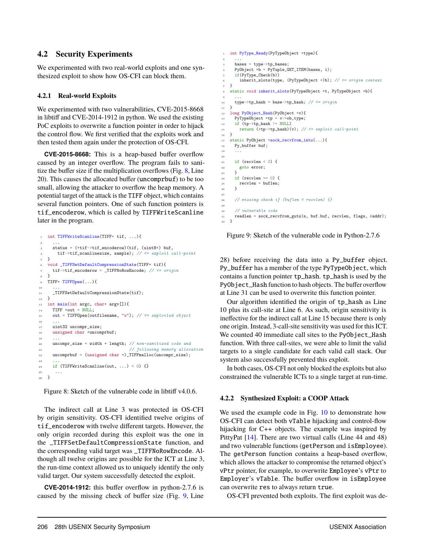## **4.2 Security Experiments**

We experimented with two real-world exploits and one synthesized exploit to show how OS-CFI can block them.

#### **4.2.1 Real-world Exploits**

We experimented with two vulnerabilities, CVE-2015-8668 in libtiff and CVE-2014-1912 in python. We used the existing PoC exploits to overwrite a function pointer in order to hijack the control flow. We first verified that the exploits work and then tested them again under the protection of OS-CFI.

**CVE-2015-8668:** This is a heap-based buffer overflow caused by an integer overflow. The program fails to sanitize the buffer size if the multiplication overflows (Fig. [8,](#page-12-0) Line 20). This causes the allocated buffer (uncomprbuf) to be too small, allowing the attacker to overflow the heap memory. A potential target of the attack is the TIFF object, which contains several function pointers. One of such function pointers is tif\_encoderow, which is called by TIFFWriteScanline later in the program.

```
1 int TIFFWriteScanline(TIFF* tif, ...){
 2 ...
     status = (*tif->tif_encoderow)(tif, (uint8*) buf,
       \text{tif}-\text{tif\_scallinesize, sample}; // \leq exploit call-point
   5 }
   6 void _TIFFSetDefaultCompressionState(TIFF* tif){
\tau tif->tif_encoderow = _TIFFNoRowEncode; // <= origin
 8 }
   9 TIFF* TIFFOpen(...){
10 ...
11 _TIFFSetDefaultCompressionState(tif);
12 - \frac{1}{2}13 int main(int argc, char* argv[]){
14 TIFF *out = NULL;
15 out = TIFFOpen(outfilename, "w"); // \le exploited object
1\,617 uint32 uncompr_size;
18 unsigned char *uncomprbuf;
19 ...
20 uncompr_size = width * length; // non-sanitized code and
<sup>21</sup> // following memory allocation
22 uncomprbuf = (unsigned char *)_TIFFmalloc(uncompr_size);
23 \cdots24 if (TIFFWriteScanline(out, ...) < 0) {}
25 \cdots\rightarrow
```
Figure 8: Sketch of the vulnerable code in libtiff v4.0.6.

The indirect call at Line 3 was protected in OS-CFI by origin sensitivity. OS-CFI identified twelve origins of tif\_encoderow with twelve different targets. However, the only origin recorded during this exploit was the one in the \_TIFFSetDefaultCompressionState function, and the corresponding valid target was \_TIFFNoRowEncode. Although all twelve origins are possible for the ICT at Line 3, the run-time context allowed us to uniquely identify the only valid target. Our system successfully detected the exploit.

**CVE-2014-1912:** this buffer overflow in python-2.7.6 is caused by the missing check of buffer size (Fig. [9,](#page-12-1) Line

```
1 int PyType_Ready(PyTypeObject *type){
 2 ...
      bases = type->tp_bases;4 PyObject *b = PyTuple_GET_ITEM(bases, i);
      5 if(PyType_Check(b))
        6 inherit_slots(type, (PyTypeObject *)b); // <= origin context
7 }
8 static void inherit_slots(PyTypeObject *t, PyTypeObject *b){
 9 ...
10 type->tp_hash = base->tp_hash; // <= origin\begin{array}{c} 11 \\ 12 \end{array}long PyObject_Hash(PyObject *v){
13 PyTypeObject *tp = v->ob_type;<br>14 if (tp->tp_hash != NULL)
      if (tp->tp\_hash := NULL)15 return (*tp->tp\_hash)(v); // \leq exploit call-point
16 }
17 static PyObject *sock_recvfrom_into(...){
18 Py_buffer buf;
19 ...
20
21 if (recylen \leq 0) {
22 goto error;
2324 if (recvlen == 0) {
25 recvlen = buflen;
26 }
27
28 // missing check if (buflen < recvlen) {}
29930 // vulnerable code
31 readlen = sock recvfrom guts(s, buf.buf, recvlen, flags, \&addr);
32 }
```
Figure 9: Sketch of the vulnerable code in Python-2.7.6

28) before receiving the data into a Py\_buffer object. Py\_buffer has a member of the type PyTypeObject, which contains a function pointer tp\_hash. tp\_hash is used by the PyObject\_Hash function to hash objects. The buffer overflow at Line 31 can be used to overwrite this function pointer.

Our algorithm identified the origin of tp\_hash as Line 10 plus its call-site at Line 6. As such, origin sensitivity is ineffective for the indirect call at Line 15 because there is only one origin. Instead, 3-call-site sensitivity was used for this ICT. We counted 40 immediate call sites to the PyObject\_Hash function. With three call-sites, we were able to limit the valid targets to a single candidate for each valid call stack. Our system also successfully prevented this exploit.

In both cases, OS-CFI not only blocked the exploits but also constrained the vulnerable ICTs to a single target at run-time.

### **4.2.2 Synthesized Exploit: a COOP Attack**

We used the example code in Fig. [10](#page-13-0) to demonstrate how OS-CFI can detect both vTable hijacking and control-flow hijacking for C++ objects. The example was inspired by PittyPat [\[14\]](#page-16-3). There are two virtual calls (Line 44 and 48) and two vulnerable functions (getPerson and isEmployee). The getPerson function contains a heap-based overflow, which allows the attacker to compromise the returned object's vPtr pointer, for example, to overwrite Employee's vPtr to Employer's vTable. The buffer overflow in isEmployee can overwrite res to always return true.

OS-CFI prevented both exploits. The first exploit was de-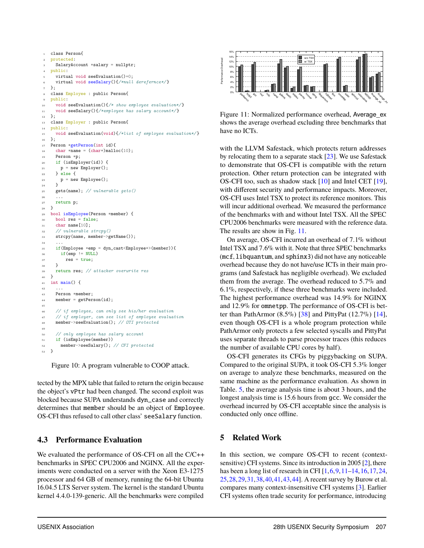```
1 class Person{
2 protected:
     SalaryAccount *salary = nullptr;
   public:
     virtual void seeEvaluation()=0;
     virtual void seeSalary(){/*null derefernce*/}
7 };
8 class Employee : public Person{
9 public:
10 void seeEvaluation(){/* show employee evaluation*/}
11 void seeSalary(){/*employee has salary account*/}
12 };
13 class Employer : public Person{
14 public:
15 void seeEvaluation(void){/*list of employee evaluation*/}
16 };
17 Person *getPerson(int id){
_{18} char *name = (char*)malloc(10);
19 Person *p;
20 if (isEmployer(id)) {
21 p = new Employer();
22 } else {
23 p = new Employee();^{24}25 gets(name); // vulnerable gets()
26 ...
27 return p;<br>28}
28 }
29 bool isEmployee(Person *member) {
30 bool res = false:
31 char name[10];
32 // vulnerable strcpy()
33 strcpy(name, member->getName());
34 ...
35 if(Employee *emp = dyn_cast<Employee*>(member)){
36 if (emp != NULL)
\begin{array}{ccc} 37 & \text{res} = \text{true}; \\ \text{res} & \text{R} \end{array}38 }
39 return res; // attacker overwrite res
40 }
41 int main() {
42 ...
43 Person *member;
44 member = getPerson(id);
45
46 // if employee, can only see his/her evaluation
47 // if employer, can see list of employee evaluation
48 member->seeEvaluation(); // OTI protected
49
     // only employee has salary account
51 if (isEmployee(member))
52 member->seeSalary(); // CFI protected
53 }
```
Figure 10: A program vulnerable to COOP attack.

tected by the MPX table that failed to return the origin because the object's vPtr had been changed. The second exploit was blocked because SUPA understands dyn\_case and correctly determines that member should be an object of Employee. OS-CFI thus refused to call other class' seeSalary function.

## **4.3 Performance Evaluation**

We evaluated the performance of OS-CFI on all the C/C++ benchmarks in SPEC CPU2006 and NGINX. All the experiments were conducted on a server with the Xeon E3-1275 processor and 64 GB of memory, running the 64-bit Ubuntu 16.04.5 LTS Server system. The kernel is the standard Ubuntu kernel 4.4.0-139-generic. All the benchmarks were compiled

<span id="page-13-1"></span>

Figure 11: Normalized performance overhead, Average\_ex shows the average overhead excluding three benchmarks that have no ICTs.

with the LLVM Safestack, which protects return addresses by relocating them to a separate stack [\[23\]](#page-16-11). We use Safestack to demonstrate that OS-CFI is compatible with the return protection. Other return protection can be integrated with OS-CFI too, such as shadow stack [\[10\]](#page-16-10) and Intel CET [\[19\]](#page-16-12), with different security and performance impacts. Moreover, OS-CFI uses Intel TSX to protect its reference monitors. This will incur additional overhead. We measured the performance of the benchmarks with and without Intel TSX. All the SPEC CPU2006 benchmarks were measured with the reference data. The results are show in Fig. [11.](#page-13-1)

On average, OS-CFI incurred an overhead of <sup>7</sup>.1% without Intel TSX and <sup>7</sup>.6% with it. Note that three SPEC benchmarks (mcf, libquantum, and sphinx3) did not have any noticeable overhead because they do not have/use ICTs in their main programs (and Safestack has negligible overhead). We excluded them from the average. The overhead reduced to <sup>5</sup>.7% and <sup>6</sup>.1%, respectively, if these three benchmarks were included. The highest performance overhead was <sup>14</sup>.9% for NGINX and <sup>12</sup>.9% for omnetpp. The performance of OS-CFI is better than PathArmor  $(8.5\%)$  [\[38\]](#page-17-3) and PittyPat  $(12.7\%)$  [\[14\]](#page-16-3), even though OS-CFI is a whole program protection while PathArmor only protects a few selected syscalls and PittyPat uses separate threads to parse processor traces (this reduces the number of available CPU cores by half).

OS-CFI generates its CFGs by piggybacking on SUPA. Compared to the original SUPA, it took OS-CFI <sup>5</sup>.3% longer on average to analyze these benchmarks, measured on the same machine as the performance evaluation. As shown in Table. [5,](#page-14-0) the average analysis time is about 3 hours, and the longest analysis time is 15.6 hours from gcc. We consider the overhead incurred by OS-CFI acceptable since the analysis is conducted only once offline.

## **5 Related Work**

In this section, we compare OS-CFI to recent (contextsensitive) CFI systems. Since its introduction in 2005 [\[2\]](#page-15-0), there has been a long list of research in CFI [\[1,](#page-15-1)[6,](#page-16-0)[9,](#page-16-1)[11–](#page-16-2)[14,](#page-16-3)[16,](#page-16-4)[17,](#page-16-5)[24,](#page-16-17) [25,](#page-16-7)[28,](#page-17-0)[29,](#page-17-1)[31,](#page-17-2)[38,](#page-17-3)[40,](#page-17-4)[41,](#page-17-5)[43,](#page-17-6)[44\]](#page-17-7). A recent survey by Burow et al. compares many context-insensitive CFI systems [\[3\]](#page-15-2). Earlier CFI systems often trade security for performance, introducing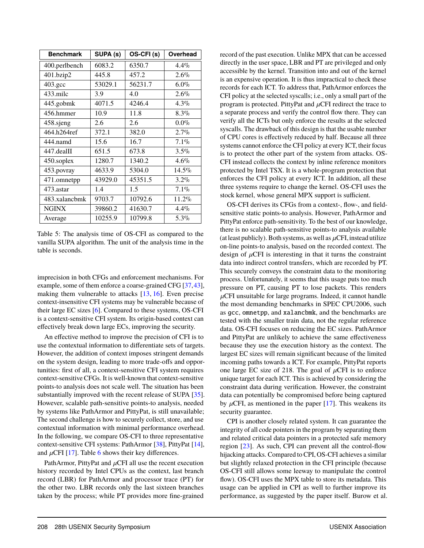<span id="page-14-0"></span>

| <b>Benchmark</b>   | SUPA (s) | OS-CFI(s) | Overhead |
|--------------------|----------|-----------|----------|
| 400.perlbench      | 6083.2   | 6350.7    | $4.4\%$  |
| 401.bzip2          | 445.8    | 457.2     | $2.6\%$  |
| $403.\mathrm{gcc}$ | 53029.1  | 56231.7   | $6.0\%$  |
| 433.milc           | 3.9      | 4.0       | $2.6\%$  |
| 445.gobmk          | 4071.5   | 4246.4    | $4.3\%$  |
| 456.hmmer          | 10.9     | 11.8      | $8.3\%$  |
| 458.sjeng          | 2.6      | 2.6       | $0.0\%$  |
| 464.h264ref        | 372.1    | 382.0     | 2.7%     |
| 444.namd           | 15.6     | 16.7      | $7.1\%$  |
| 447.dealII         | 651.5    | 673.8     | $3.5\%$  |
| 450.soplex         | 1280.7   | 1340.2    | $4.6\%$  |
| 453.povray         | 4633.9   | 5304.0    | $14.5\%$ |
| 471.omnetpp        | 43929.0  | 45351.5   | $3.2\%$  |
| 473.astar          | 1.4      | 1.5       | $7.1\%$  |
| 483.xalancbmk      | 9703.7   | 10792.6   | 11.2%    |
| <b>NGINX</b>       | 39860.2  | 41630.7   | $4.4\%$  |
| Average            | 10255.9  | 10799.8   | 5.3%     |

Table 5: The analysis time of OS-CFI as compared to the vanilla SUPA algorithm. The unit of the analysis time in the table is seconds.

imprecision in both CFGs and enforcement mechanisms. For example, some of them enforce a coarse-grained CFG [\[37,](#page-17-16)[43\]](#page-17-6), making them vulnerable to attacks [\[13,](#page-16-8) [16\]](#page-16-4). Even precise context-insensitive CFI systems may be vulnerable because of their large EC sizes [\[6\]](#page-16-0). Compared to these systems, OS-CFI is a context-sensitive CFI system. Its origin-based context can effectively break down large ECs, improving the security.

An effective method to improve the precision of CFI is to use the contextual information to differentiate sets of targets. However, the addition of context imposes stringent demands on the system design, leading to more trade-offs and opportunities: first of all, a context-sensitive CFI system requires context-sensitive CFGs. It is well-known that context-sensitive points-to analysis does not scale well. The situation has been substantially improved with the recent release of SUPA [\[35\]](#page-17-17). However, scalable path-sensitive points-to analysis, needed by systems like PathArmor and PittyPat, is still unavailable; The second challenge is how to securely collect, store, and use contextual information with minimal performance overhead. In the following, we compare OS-CFI to three representative context-sensitive CFI systems: PathArmor [\[38\]](#page-17-3), PittyPat [\[14\]](#page-16-3), and  $\mu$ CFI [\[17\]](#page-16-5). Table [6](#page-15-4) shows their key differences.

PathArmor, PittyPat and  $\mu$ CFI all use the recent execution history recorded by Intel CPUs as the context, last branch record (LBR) for PathArmor and processor trace (PT) for the other two. LBR records only the last sixteen branches taken by the process; while PT provides more fine-grained record of the past execution. Unlike MPX that can be accessed directly in the user space, LBR and PT are privileged and only accessible by the kernel. Transition into and out of the kernel is an expensive operation. It is thus impractical to check these records for each ICT. To address that, PathArmor enforces the CFI policy at the selected syscalls; i.e., only a small part of the program is protected. PittyPat and  $\mu$ CFI redirect the trace to a separate process and verify the control flow there. They can verify all the ICTs but only enforce the results at the selected syscalls. The drawback of this design is that the usable number of CPU cores is effectively reduced by half. Because all three systems cannot enforce the CFI policy at every ICT, their focus is to protect the other part of the system from attacks. OS-CFI instead collects the context by inline reference monitors protected by Intel TSX. It is a whole-program protection that enforces the CFI policy at every ICT. In addition, all these three systems require to change the kernel. OS-CFI uses the stock kernel, whose general MPX support is sufficient.

OS-CFI derives its CFGs from a context-, flow-, and fieldsensitive static points-to analysis. However, PathArmor and PittyPat enforce path-sensitivity. To the best of our knowledge, there is no scalable path-sensitive points-to analysis available (at least publicly). Both systems, as well as  $\mu$ CFI, instead utilize on-line points-to analysis, based on the recorded context. The design of  $\mu$ CFI is interesting in that it turns the constraint data into indirect control transfers, which are recorded by PT. This securely conveys the constraint data to the monitoring process. Unfortunately, it seems that this usage puts too much pressure on PT, causing PT to lose packets. This renders  $\mu$ CFI unsuitable for large programs. Indeed, it cannot handle the most demanding benchmarks in SPEC CPU2006, such as gcc, omnetpp, and xalancbmk, and the benchmarks are tested with the smaller train data, not the regular reference data. OS-CFI focuses on reducing the EC sizes. PathArmor and PittyPat are unlikely to achieve the same effectiveness because they use the execution history as the context. The largest EC sizes will remain significant because of the limited incoming paths towards a ICT. For example, PittyPat reports one large EC size of 218. The goal of  $\mu$ CFI is to enforce unique target for each ICT. This is achieved by considering the constraint data during verification. However, the constraint data can potentially be compromised before being captured by  $\mu$ CFI, as mentioned in the paper [\[17\]](#page-16-5). This weakens its security guarantee.

CPI is another closely related system. It can guarantee the integrity of all code pointers in the program by separating them and related critical data pointers in a protected safe memory region [\[23\]](#page-16-11). As such, CPI can prevent all the control-flow hijacking attacks. Compared to CPI, OS-CFI achieves a similar but slightly relaxed protection in the CFI principle (because OS-CFI still allows some leeway to manipulate the control flow). OS-CFI uses the MPX table to store its metadata. This usage can be applied in CPI as well to further improve its performance, as suggested by the paper itself. Burow et al.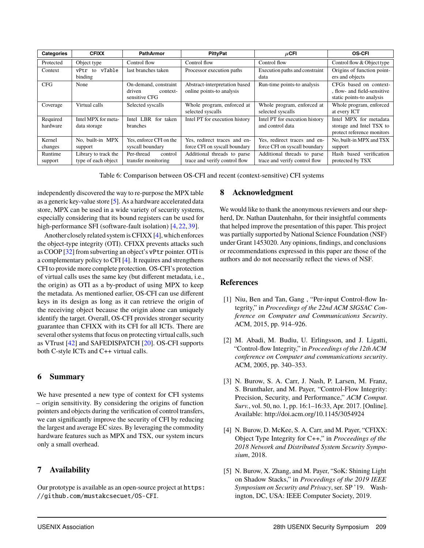<span id="page-15-4"></span>

| <b>Categories</b>    | <b>CFIXX</b>                                | <b>PathArmor</b>                                             | <b>PittyPat</b>                                               | $\mu$ CFI                                                     | <b>OS-CFI</b>                                                                      |
|----------------------|---------------------------------------------|--------------------------------------------------------------|---------------------------------------------------------------|---------------------------------------------------------------|------------------------------------------------------------------------------------|
| Protected            | Object type                                 | Control flow                                                 | Control flow                                                  | Control flow                                                  | Control flow & Object type                                                         |
| Context              | vTable<br>vPtr<br>to<br>binding             | last branches taken                                          | Processor execution paths                                     | Execution paths and constraint<br>data                        | Origins of function point-<br>ers and objects                                      |
| <b>CFG</b>           | None                                        | On-demand, constraint<br>driven<br>context-<br>sensitive CFG | Abstract-interpretation based<br>online points-to analysis    | Run-time points-to analysis                                   | CFGs based on context-<br>, flow- and field-sensitive<br>static points-to analysis |
| Coverage             | Virtual calls                               | Selected syscalls                                            | Whole program, enforced at<br>selected syscalls               | Whole program, enforced at<br>selected syscalls               | Whole program, enforced<br>at every ICT                                            |
| Required<br>hardware | Intel MPX for meta-<br>data storage         | Intel LBR<br>for taken<br>branches                           | Intel PT for execution history                                | Intel PT for execution history<br>and control data            | Intel MPX for metadata<br>storage and Intel TSX to<br>protect reference monitors   |
| Kernel<br>changes    | No. built-in MPX<br>support                 | Yes, enforce CFI on the<br>syscall boundary                  | Yes, redirect traces and en-<br>force CFI on syscall boundary | Yes, redirect traces and en-<br>force CFI on syscall boundary | No, built-in MPX and TSX<br>support                                                |
| Runtime<br>support   | Library to track the<br>type of each object | Per-thread<br>control<br>transfer monitoring                 | Additional threads to parse<br>trace and verify control flow  | Additional threads to parse<br>trace and verify control flow  | Hash based verification<br>protected by TSX                                        |

Table 6: Comparison between OS-CFI and recent (context-sensitive) CFI systems

independently discovered the way to re-purpose the MPX table as a generic key-value store [\[5\]](#page-15-5). As a hardware accelerated data store, MPX can be used in a wide variety of security systems, especially considering that its bound registers can be used for high-performance SFI (software-fault isolation) [\[4,](#page-15-3) [22,](#page-16-16) [39\]](#page-17-18).

Another closely related system is CFIXX  $[4]$ , which enforces the object-type integrity (OTI). CFIXX prevents attacks such as COOP [\[32\]](#page-17-11) from subverting an object's vPtr pointer. OTI is a complementary policy to CFI [\[4\]](#page-15-3). It requires and strengthens CFI to provide more complete protection. OS-CFI's protection of virtual calls uses the same key (but different metadata, i.e., the origin) as OTI as a by-product of using MPX to keep the metadata. As mentioned earlier, OS-CFI can use different keys in its design as long as it can retrieve the origin of the receiving object because the origin alone can uniquely identify the target. Overall, OS-CFI provides stronger security guarantee than CFIXX with its CFI for all ICTs. There are several other systems that focus on protecting virtual calls, such as VTrust [\[42\]](#page-17-19) and SAFEDISPATCH [\[20\]](#page-16-18). OS-CFI supports both C-style ICTs and C++ virtual calls.

## **6 Summary**

We have presented a new type of context for CFI systems – origin sensitivity. By considering the origins of function pointers and objects during the verification of control transfers, we can significantly improve the security of CFI by reducing the largest and average EC sizes. By leveraging the commodity hardware features such as MPX and TSX, our system incurs only a small overhead.

## **7 Availability**

Our prototype is available as an open-source project at [https:](https://github.com/mustakcsecuet/OS-CFI) [//github.com/mustakcsecuet/OS-CFI](https://github.com/mustakcsecuet/OS-CFI).

## **8 Acknowledgment**

We would like to thank the anonymous reviewers and our shepherd, Dr. Nathan Dautenhahn, for their insightful comments that helped improve the presentation of this paper. This project was partially supported by National Science Foundation (NSF) under Grant 1453020. Any opinions, findings, and conclusions or recommendations expressed in this paper are those of the authors and do not necessarily reflect the views of NSF.

## **References**

- <span id="page-15-1"></span>[1] Niu, Ben and Tan, Gang , "Per-input Control-flow Integrity," in *Proceedings of the 22nd ACM SIGSAC Conference on Computer and Communications Security*. ACM, 2015, pp. 914–926.
- <span id="page-15-0"></span>[2] M. Abadi, M. Budiu, U. Erlingsson, and J. Ligatti, "Control-flow Integrity," in *Proceedings of the 12th ACM conference on Computer and communications security*. ACM, 2005, pp. 340–353.
- <span id="page-15-2"></span>[3] N. Burow, S. A. Carr, J. Nash, P. Larsen, M. Franz, S. Brunthaler, and M. Payer, "Control-Flow Integrity: Precision, Security, and Performance," *ACM Comput. Surv.*, vol. 50, no. 1, pp. 16:1–16:33, Apr. 2017. [Online]. Available: <http://doi.acm.org/10.1145/3054924>
- <span id="page-15-3"></span>[4] N. Burow, D. McKee, S. A. Carr, and M. Payer, "CFIXX: Object Type Integrity for C++," in *Proceedings of the 2018 Network and Distributed System Security Symposium*, 2018.
- <span id="page-15-5"></span>[5] N. Burow, X. Zhang, and M. Payer, "SoK: Shining Light on Shadow Stacks," in *Proceedings of the 2019 IEEE Symposium on Security and Privacy*, ser. SP '19. Washington, DC, USA: IEEE Computer Society, 2019.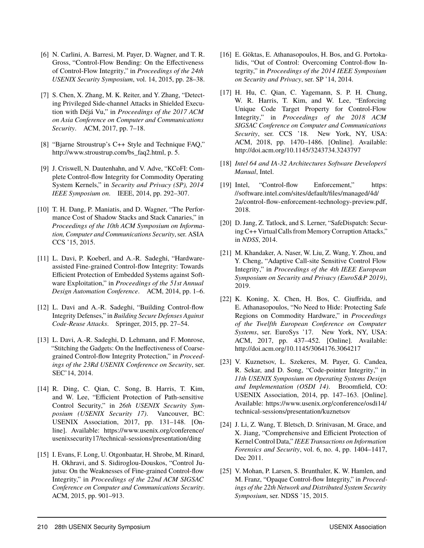- <span id="page-16-0"></span>[6] N. Carlini, A. Barresi, M. Payer, D. Wagner, and T. R. Gross, "Control-Flow Bending: On the Effectiveness of Control-Flow Integrity," in *Proceedings of the 24th USENIX Security Symposium*, vol. 14, 2015, pp. 28–38.
- <span id="page-16-15"></span>[7] S. Chen, X. Zhang, M. K. Reiter, and Y. Zhang, "Detecting Privileged Side-channel Attacks in Shielded Execution with Déjá Vu," in *Proceedings of the 2017 ACM on Asia Conference on Computer and Communications Security*. ACM, 2017, pp. 7–18.
- <span id="page-16-13"></span>[8] "Bjarne Stroustrup's C++ Style and Technique FAQ," [http://www.stroustrup.com/bs\\_faq2.html,](http://www.stroustrup.com/bs_faq2.html) p. 5.
- <span id="page-16-1"></span>[9] J. Criswell, N. Dautenhahn, and V. Adve, "KCoFI: Complete Control-flow Integrity for Commodity Operating System Kernels," in *Security and Privacy (SP), 2014 IEEE Symposium on*. IEEE, 2014, pp. 292–307.
- <span id="page-16-10"></span>[10] T. H. Dang, P. Maniatis, and D. Wagner, "The Performance Cost of Shadow Stacks and Stack Canaries," in *Proceedings of the 10th ACM Symposium on Information, Computer and Communications Security*, ser. ASIA CCS '15, 2015.
- <span id="page-16-2"></span>[11] L. Davi, P. Koeberl, and A.-R. Sadeghi, "Hardwareassisted Fine-grained Control-flow Integrity: Towards Efficient Protection of Embedded Systems against Software Exploitation," in *Proceedings of the 51st Annual Design Automation Conference*. ACM, 2014, pp. 1–6.
- [12] L. Davi and A.-R. Sadeghi, "Building Control-flow Integrity Defenses," in *Building Secure Defenses Against Code-Reuse Attacks*. Springer, 2015, pp. 27–54.
- <span id="page-16-8"></span>[13] L. Davi, A.-R. Sadeghi, D. Lehmann, and F. Monrose, "Stitching the Gadgets: On the Ineffectiveness of Coarsegrained Control-flow Integrity Protection," in *Proceedings of the 23Rd USENIX Conference on Security*, ser. SEC'14, 2014.
- <span id="page-16-3"></span>[14] R. Ding, C. Qian, C. Song, B. Harris, T. Kim, and W. Lee, "Efficient Protection of Path-sensitive Control Security," in *26th USENIX Security Symposium (USENIX Security 17)*. Vancouver, BC: USENIX Association, 2017, pp. 131–148. [Online]. Available: [https://www.usenix.org/conference/](https://www.usenix.org/conference/usenixsecurity17/technical-sessions/presentation/ding) [usenixsecurity17/technical-sessions/presentation/ding](https://www.usenix.org/conference/usenixsecurity17/technical-sessions/presentation/ding)
- <span id="page-16-9"></span>[15] I. Evans, F. Long, U. Otgonbaatar, H. Shrobe, M. Rinard, H. Okhravi, and S. Sidiroglou-Douskos, "Control Jujutsu: On the Weaknesses of Fine-grained Control-flow Integrity," in *Proceedings of the 22nd ACM SIGSAC Conference on Computer and Communications Security*. ACM, 2015, pp. 901–913.
- <span id="page-16-4"></span>[16] E. Göktas, E. Athanasopoulos, H. Bos, and G. Portokalidis, "Out of Control: Overcoming Control-flow Integrity," in *Proceedings of the 2014 IEEE Symposium on Security and Privacy*, ser. SP '14, 2014.
- <span id="page-16-5"></span>[17] H. Hu, C. Qian, C. Yagemann, S. P. H. Chung, W. R. Harris, T. Kim, and W. Lee, "Enforcing Unique Code Target Property for Control-Flow Integrity," in *Proceedings of the 2018 ACM SIGSAC Conference on Computer and Communications Security*, ser. CCS '18. New York, NY, USA: ACM, 2018, pp. 1470–1486. [Online]. Available: <http://doi.acm.org/10.1145/3243734.3243797>
- <span id="page-16-14"></span>[18] *Intel 64 and IA-32 Architectures Software Developerś Manual*, Intel.
- <span id="page-16-12"></span>[19] Intel, "Control-flow Enforcement," [https:](https://software.intel.com/sites/default/files/managed/4d/2a/control-flow-enforcement-technology-preview.pdf) [//software.intel.com/sites/default/files/managed/4d/](https://software.intel.com/sites/default/files/managed/4d/2a/control-flow-enforcement-technology-preview.pdf) [2a/control-flow-enforcement-technology-preview.pdf,](https://software.intel.com/sites/default/files/managed/4d/2a/control-flow-enforcement-technology-preview.pdf) 2018.
- <span id="page-16-18"></span>[20] D. Jang, Z. Tatlock, and S. Lerner, "SafeDispatch: Securing C++ Virtual Calls from Memory Corruption Attacks," in *NDSS*, 2014.
- <span id="page-16-6"></span>[21] M. Khandaker, A. Naser, W. Liu, Z. Wang, Y. Zhou, and Y. Cheng, "Adaptive Call-site Sensitive Control Flow Integrity," in *Proceedings of the 4th IEEE European Symposium on Security and Privacy (EuroS&P 2019)*, 2019.
- <span id="page-16-16"></span>[22] K. Koning, X. Chen, H. Bos, C. Giuffrida, and E. Athanasopoulos, "No Need to Hide: Protecting Safe Regions on Commodity Hardware," in *Proceedings of the Twelfth European Conference on Computer Systems*, ser. EuroSys '17. New York, NY, USA: ACM, 2017, pp. 437–452. [Online]. Available: <http://doi.acm.org/10.1145/3064176.3064217>
- <span id="page-16-11"></span>[23] V. Kuznetsov, L. Szekeres, M. Payer, G. Candea, R. Sekar, and D. Song, "Code-pointer Integrity," in *11th USENIX Symposium on Operating Systems Design and Implementation (OSDI 14)*. Broomfield, CO: USENIX Association, 2014, pp. 147–163. [Online]. Available: [https://www.usenix.org/conference/osdi14/](https://www.usenix.org/conference/osdi14/technical-sessions/presentation/kuznetsov) [technical-sessions/presentation/kuznetsov](https://www.usenix.org/conference/osdi14/technical-sessions/presentation/kuznetsov)
- <span id="page-16-17"></span>[24] J. Li, Z. Wang, T. Bletsch, D. Srinivasan, M. Grace, and X. Jiang, "Comprehensive and Efficient Protection of Kernel Control Data," *IEEE Transactions on Information Forensics and Security*, vol. 6, no. 4, pp. 1404–1417, Dec 2011.
- <span id="page-16-7"></span>[25] V. Mohan, P. Larsen, S. Brunthaler, K. W. Hamlen, and M. Franz, "Opaque Control-flow Integrity," in *Proceedings of the 22th Network and Distributed System Security Symposium*, ser. NDSS '15, 2015.